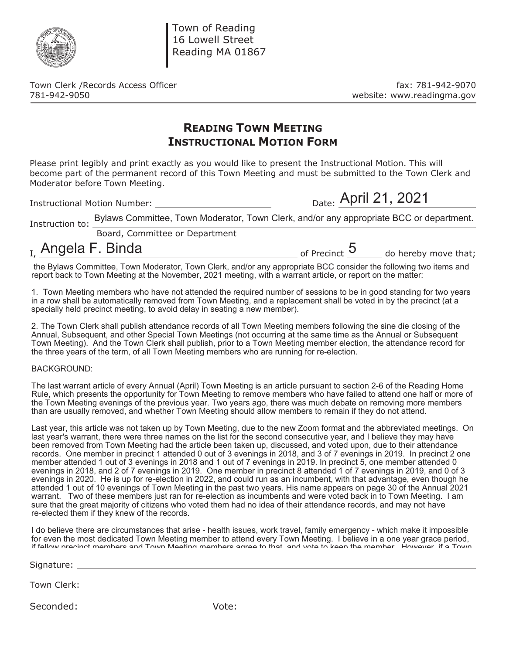

Town of Reading 16 Lowell Street Reading MA 01867

Town Clerk /Records Access Officer fax: 781-942-9070 781-942-9050 website: www.readingma.gov

## **READING TOWN MEETING INSTRUCTIONAL MOTION FORM**

Please print legibly and print exactly as you would like to present the Instructional Motion. This will become part of the permanent record of this Town Meeting and must be submitted to the Town Clerk and Moderator before Town Meeting.

Instructional Motion Number: Date:

Date: April 21, 2021

Instruction to: Bylaws Committee, Town Moderator, Town Clerk, and/or any appropriate BCC or department.

Board, Committee or Department

 $<sub>L</sub>$  Angela F. Binda</sub>

 $\frac{1}{\sqrt{1-\frac{1}{n}}}$  of Precinct  $\frac{1}{\sqrt{1-\frac{1}{n}}}$  do hereby move that;

 the Bylaws Committee, Town Moderator, Town Clerk, and/or any appropriate BCC consider the following two items and report back to Town Meeting at the November, 2021 meeting, with a warrant article, or report on the matter:

1. Town Meeting members who have not attended the required number of sessions to be in good standing for two years in a row shall be automatically removed from Town Meeting, and a replacement shall be voted in by the precinct (at a specially held precinct meeting, to avoid delay in seating a new member).

2. The Town Clerk shall publish attendance records of all Town Meeting members following the sine die closing of the Annual, Subsequent, and other Special Town Meetings (not occurring at the same time as the Annual or Subsequent Town Meeting). And the Town Clerk shall publish, prior to a Town Meeting member election, the attendance record for the three years of the term, of all Town Meeting members who are running for re-election.

## BACKGROUND:

The last warrant article of every Annual (April) Town Meeting is an article pursuant to section 2-6 of the Reading Home Rule, which presents the opportunity for Town Meeting to remove members who have failed to attend one half or more of the Town Meeting evenings of the previous year. Two years ago, there was much debate on removing more members than are usually removed, and whether Town Meeting should allow members to remain if they do not attend.

Last year, this article was not taken up by Town Meeting, due to the new Zoom format and the abbreviated meetings. On last year's warrant, there were three names on the list for the second consecutive year, and I believe they may have been removed from Town Meeting had the article been taken up, discussed, and voted upon, due to their attendance records. One member in precinct 1 attended 0 out of 3 evenings in 2018, and 3 of 7 evenings in 2019. In precinct 2 one member attended 1 out of 3 evenings in 2018 and 1 out of 7 evenings in 2019. In precinct 5, one member attended 0 evenings in 2018, and 2 of 7 evenings in 2019. One member in precinct 8 attended 1 of 7 evenings in 2019, and 0 of 3 evenings in 2020. He is up for re-election in 2022, and could run as an incumbent, with that advantage, even though he attended 1 out of 10 evenings of Town Meeting in the past two years. His name appears on page 30 of the Annual 2021 warrant. Two of these members just ran for re-election as incumbents and were voted back in to Town Meeting. I am sure that the great majority of citizens who voted them had no idea of their attendance records, and may not have re-elected them if they knew of the records.

I do believe there are circumstances that arise - health issues, work travel, family emergency - which make it impossible for even the most dedicated Town Meeting member to attend every Town Meeting. I believe in a one year grace period, if fellow precinct members and Town Meeting members agree to that and vote to keep the member However if a Town

Signature:

Town Clerk:

Seconded: Vote: